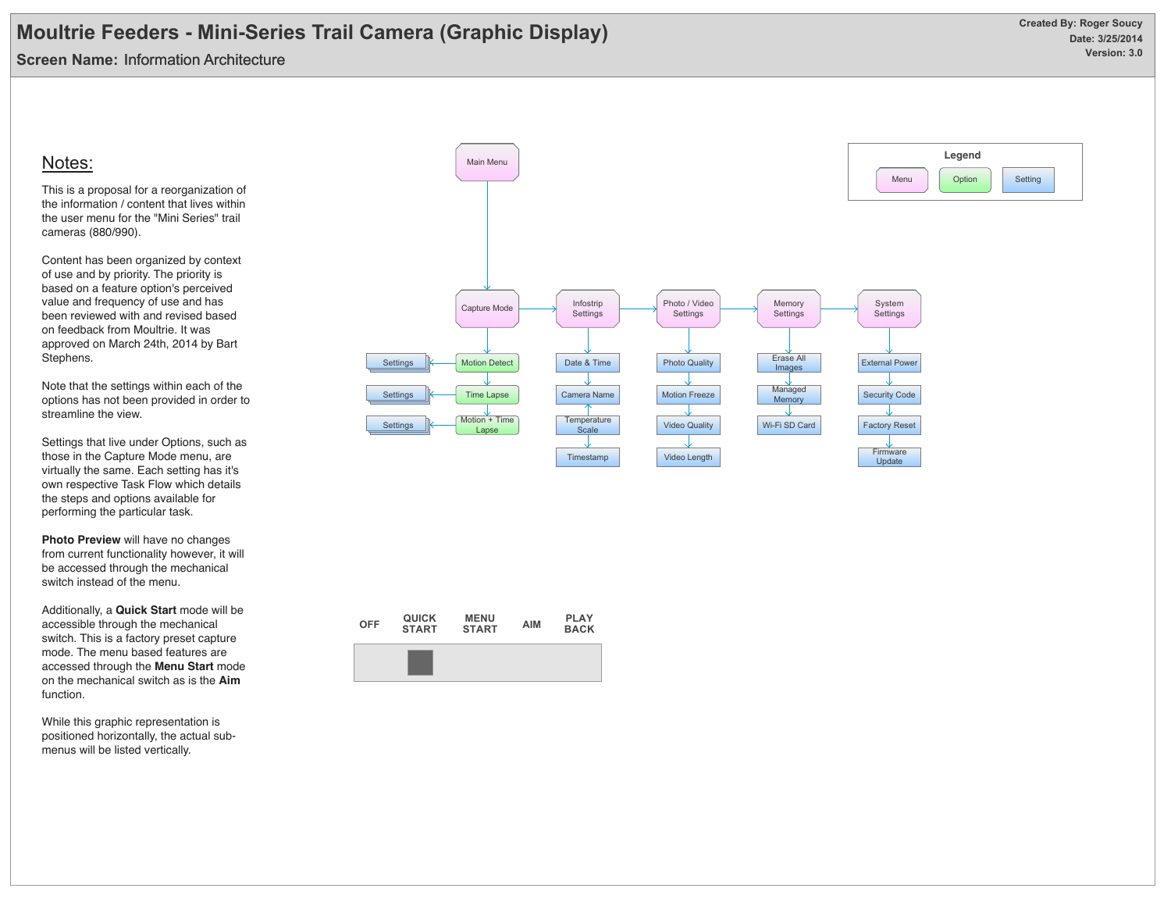**Screen Name:** Information Architecture

### Notes:

This is a proposal for a reorganization of the information / content that lives within the user menu for the "Mini Series" trail cameras (880/990).

Content has been organized by context of use and by priority. The priority is based on a feature option's perceived value and frequency of use and has been reviewed with and revised based on feedback from Moultrie. It was approved on March 24th, 2014 by Bart Stephens.

Note that the settings within each of the options has not been provided in order to streamline the view.

Settings that live under Options, such as those in the Capture Mode menu, are virtually the same. Each setting has it's own respective Task Flow which details the steps and options available for performing the particular task.

**Photo Preview** will have no changes from current functionality however, it will be accessed through the mechanical switch instead of the menu.

Additionally, a **Quick Start** mode will be accessible through the mechanical switch. This is a factory preset capture mode. The menu based features are accessed through the **Menu Start** mode on the mechanical switch as is the **Aim** function.

While this graphic representation is positioned horizontally, the actual submenus will be listed vertically.



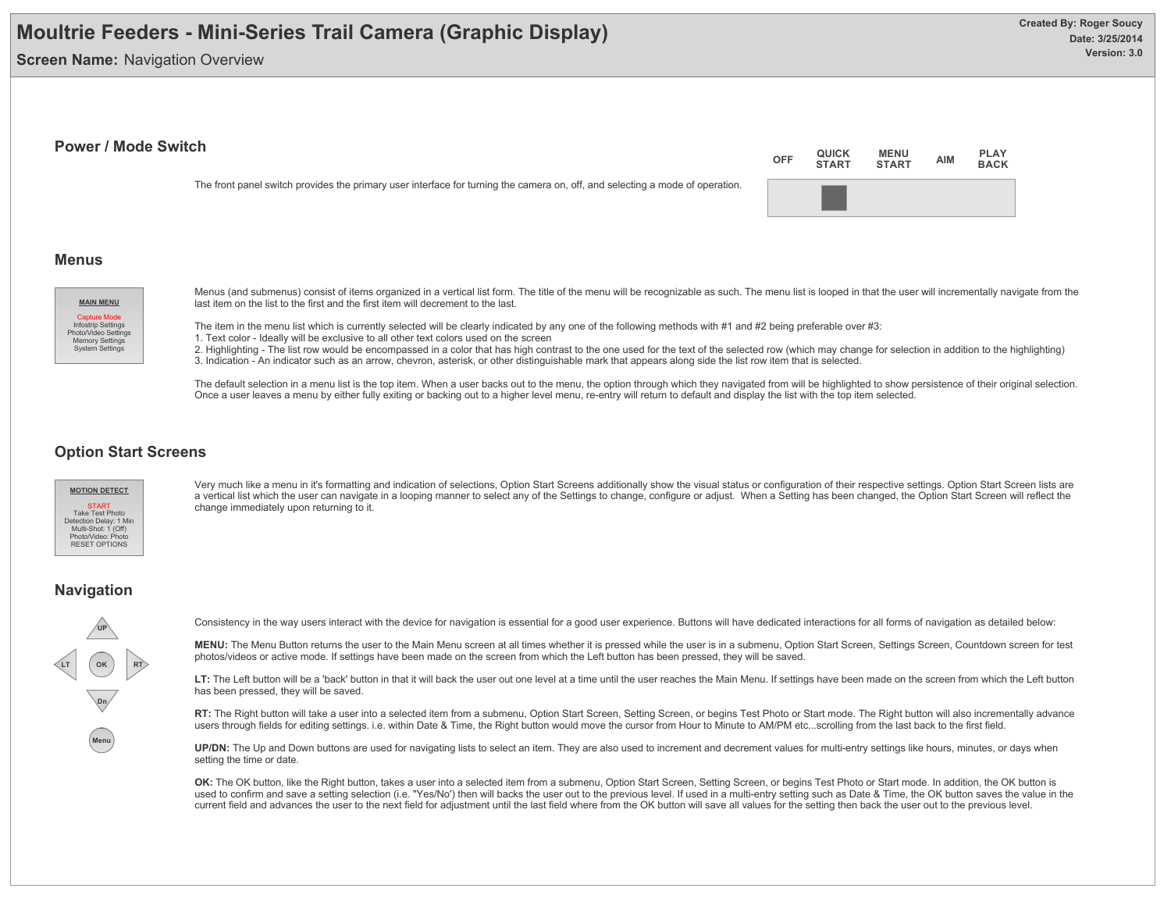**Screen Name: Navigation Overview** 

#### **Power / Mode Switch**

The front panel switch provides the primary user interface for turning the camera on, off, and selecting a mode of operation.



#### **Menus**



Menus (and submenus) consist of items organized in a vertical list form. The title of the menu will be recognizable as such. The menu list is looped in that the user will incrementally navigate from the last item on the list to the first and the first item will decrement to the last.

The item in the menu list which is currently selected will be clearly indicated by any one of the following methods with #1 and #2 being preferable over #3:

1. Text color - Ideally will be exclusive to all other text colors used on the screen

2. Highlighting - The list row would be encompassed in a color that has high contrast to the one used for the text of the selected row (which may change for selection in addition to the highlighting) 3. Indication - An indicator such as an arrow, chevron, asterisk, or other distinguishable mark that appears along side the list row item that is selected.

The default selection in a menu list is the top item. When a user backs out to the menu, the option through which they navigated from will be highlighted to show persistence of their original selection. Once a user leaves a menu by either fully exiting or backing out to a higher level menu, re-entry will return to default and display the list with the top item selected.

#### **Option Start Screens**



Very much like a menu in it's formatting and indication of selections, Option Start Screens additionally show the visual status or configuration of their respective settings. Option Start Screen lists are a vertical list which the user can navigate in a looping manner to select any of the Settings to change, configure or adjust. When a Setting has been changed, the Option Start Screen will reflect the change immediately upon returning to it.

#### **Navigation**



Consistency in the way users interact with the device for navigation is essential for a good user experience. Buttons will have dedicated interactions for all forms of navigation as detailed below:

**MENU:** The Menu Button returns the user to the Main Menu screen at all times whether it is pressed while the user is in a submenu, Option Start Screen, Settings Screen, Countdown screen for test photos/videos or active mode. If settings have been made on the screen from which the Left button has been pressed, they will be saved.

LT: The Left button will be a 'back' button in that it will back the user out one level at a time until the user reaches the Main Menu. If settings have been made on the screen from which the Left button has been pressed, they will be saved.

RT: The Right button will take a user into a selected item from a submenu, Option Start Screen, Setting Screen, or begins Test Photo or Start mode. The Right button will also incrementally advance users through fields for editing settings. i.e. within Date & Time, the Right button would move the cursor from Hour to Minute to AM/PM etc...scrolling from the last back to the first field.

UP/DN: The Up and Down buttons are used for navigating lists to select an item. They are also used to increment and decrement values for multi-entry settings like hours, minutes, or days when setting the time or date.

OK: The OK button, like the Right button, takes a user into a selected item from a submenu, Option Start Screen, Setting Screen, or begins Test Photo or Start mode. In addition, the OK button is used to confirm and save a setting selection (i.e. "Yes/No') then will backs the user out to the previous level. If used in a multi-entry setting such as Date & Time, the OK button saves the value in the current field and advances the user to the next field for adjustment until the last field where from the OK button will save all values for the setting then back the user out to the previous level.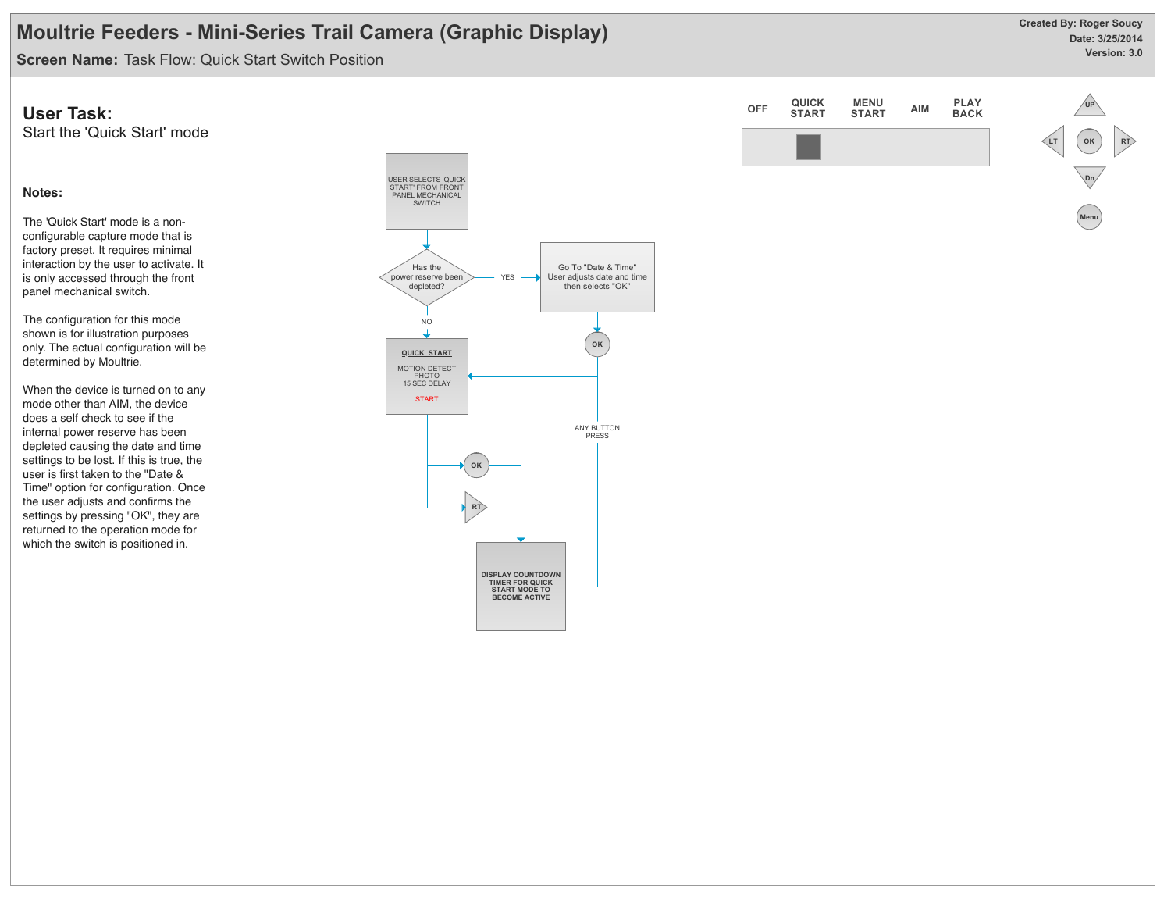**Date: 3/25/2014 Version: 3.0 Created By: Roger Soucy**

**Screen Name:** Task Flow: Quick Start Switch Position

### **User Task:**

Start the 'Quick Start' mode

#### **Notes:**

The 'Quick Start' mode is a nonconfigurable capture mode that is factory preset. It requires minimal interaction by the user to activate. It is only accessed through the front panel mechanical switch.

The configuration for this mode shown is for illustration purposes only. The actual configuration will be determined by Moultrie.

When the device is turned on to any mode other than AIM, the device does a self check to see if the internal power reserve has been depleted causing the date and time settings to be lost. If this is true, the user is first taken to the "Date & Time" option for configuration. Once the user adjusts and confirms the settings by pressing "OK", they are returned to the operation mode for which the switch is positioned in.



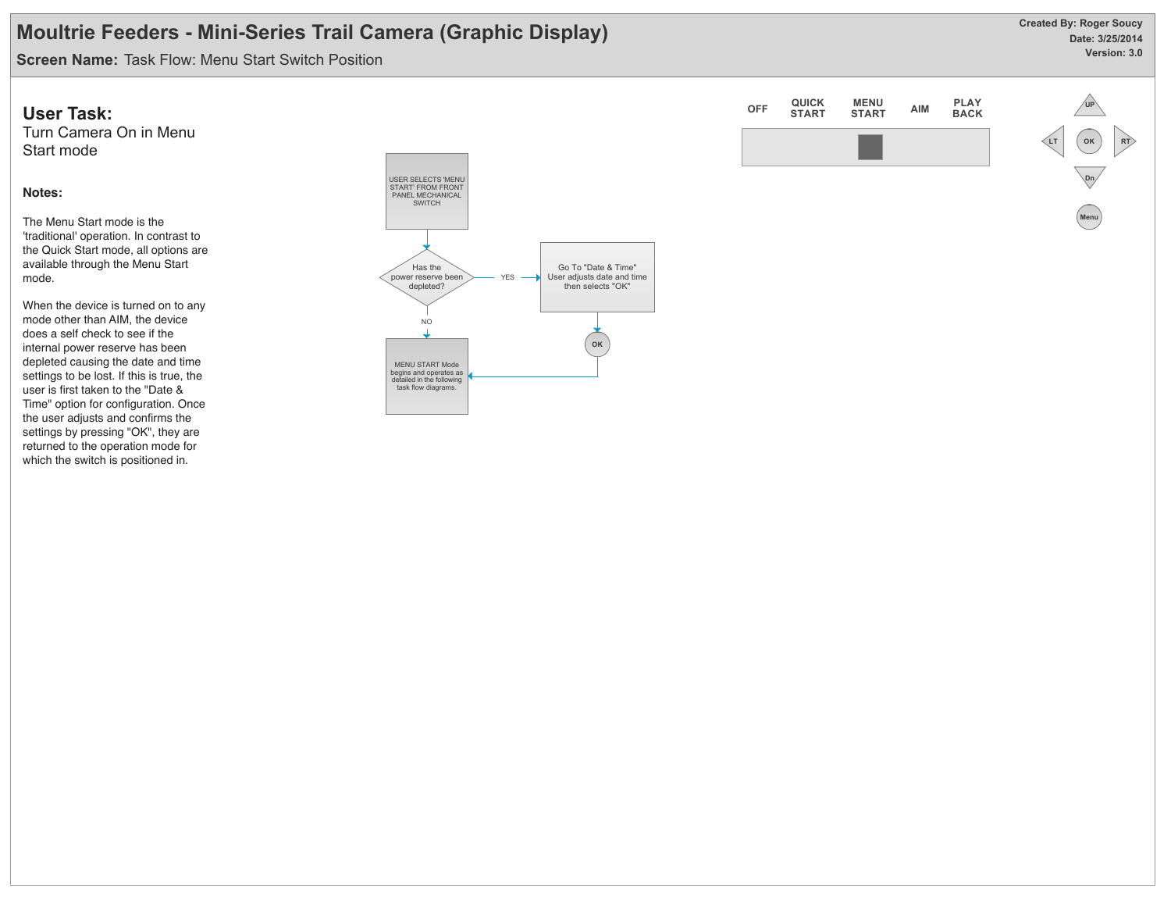**Date: 3/25/2014 Version: 3.0 Created By: Roger Soucy**

**Screen Name:** Task Flow: Menu Start Switch Position

### **User Task:**

Turn Camera On in Menu Start mode

#### **Notes:**

The Menu Start mode is the 'traditional' operation. In contrast to the Quick Start mode, all options are available through the Menu Start mode.

When the device is turned on to any mode other than AIM, the device does a self check to see if the internal power reserve has been depleted causing the date and time settings to be lost. If this is true, the user is first taken to the "Date & Time" option for configuration. Once the user adjusts and confirms the settings by pressing "OK", they are returned to the operation mode for which the switch is positioned in.



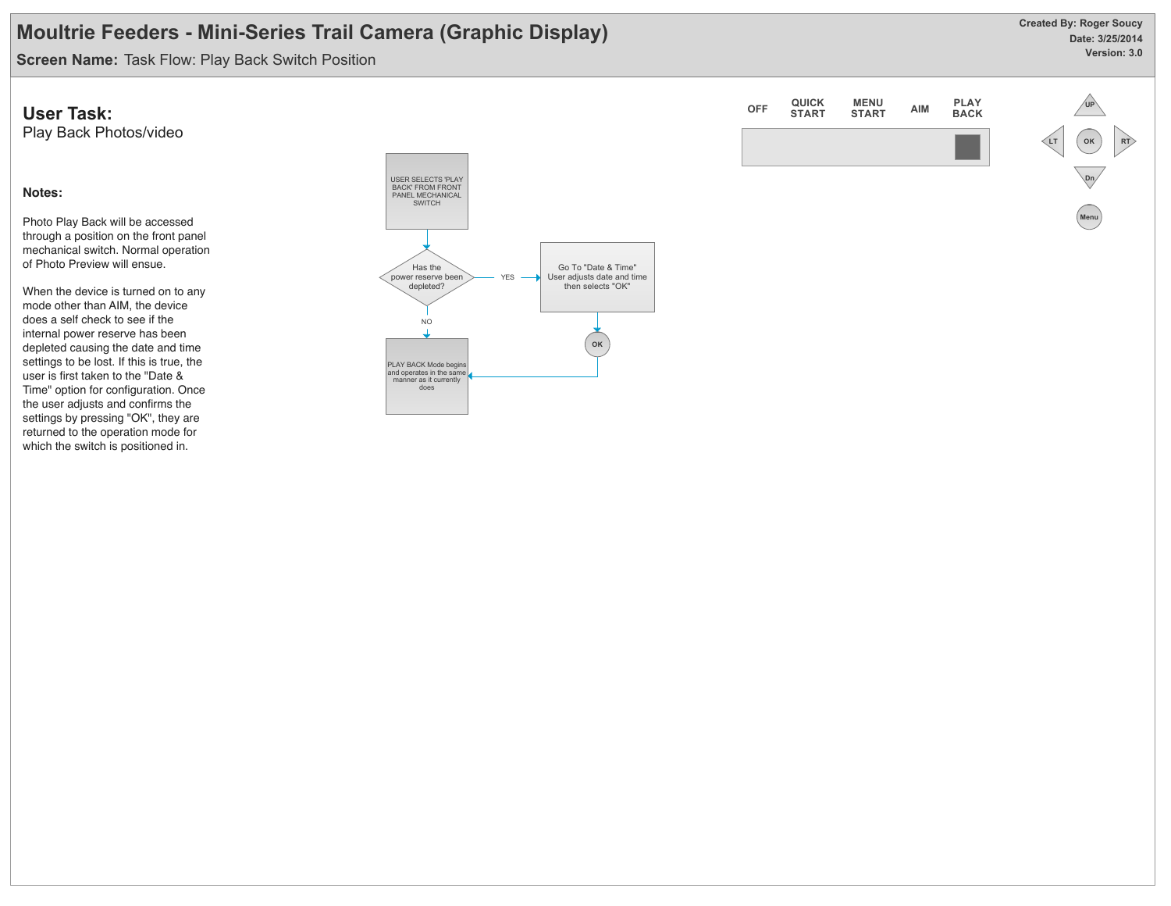**Date: 3/25/2014 Version: 3.0 Created By: Roger Soucy**

**Screen Name:** Task Flow: Play Back Switch Position

### **User Task:**

Play Back Photos/video

#### **Notes:**

Photo Play Back will be accessed through a position on the front panel mechanical switch. Normal operation of Photo Preview will ensue.

When the device is turned on to any mode other than AIM, the device does a self check to see if the internal power reserve has been depleted causing the date and time settings to be lost. If this is true, the user is first taken to the "Date & Time" option for configuration. Once the user adjusts and confirms the settings by pressing "OK", they are returned to the operation mode for which the switch is positioned in.



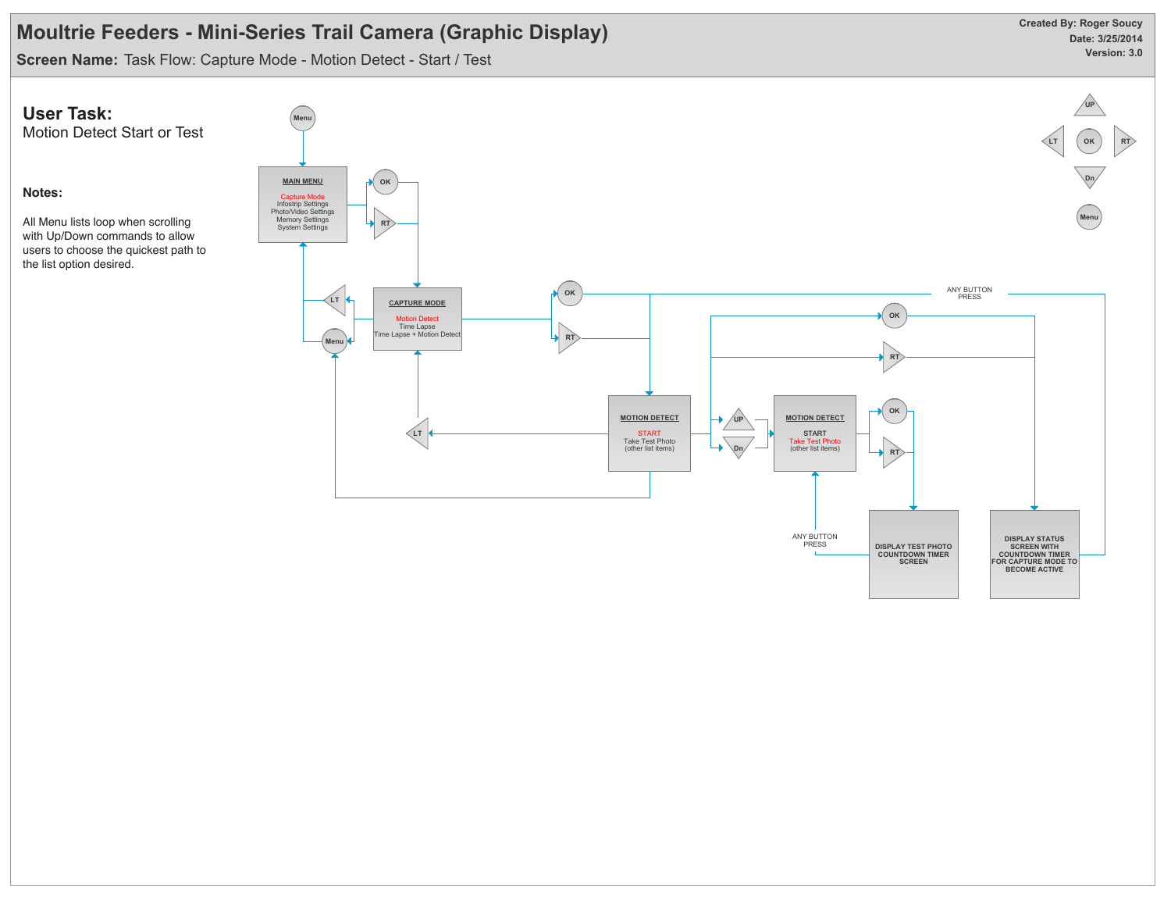**Screen Name:** Task Flow: Capture Mode - Motion Detect - Start / Test

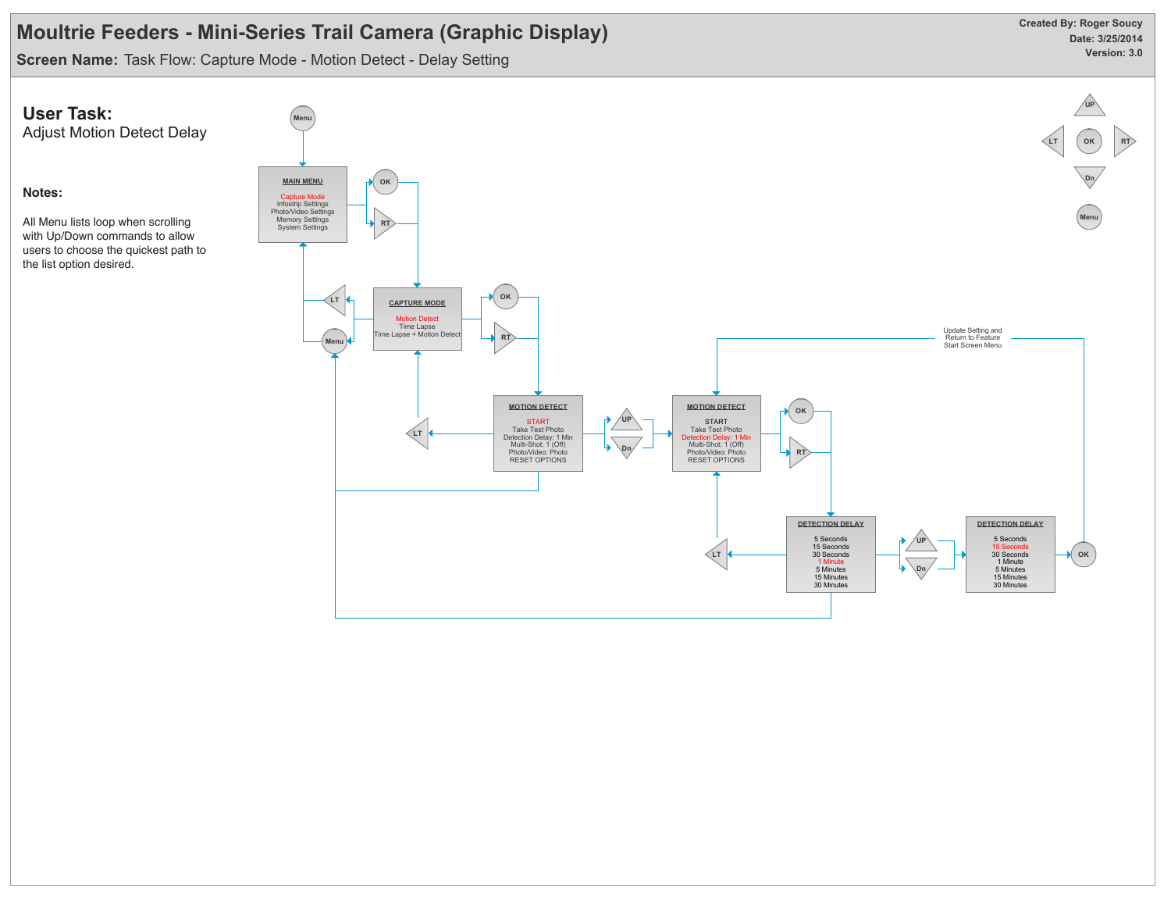**Screen Name:** Task Flow: Capture Mode - Motion Detect - Delay Setting

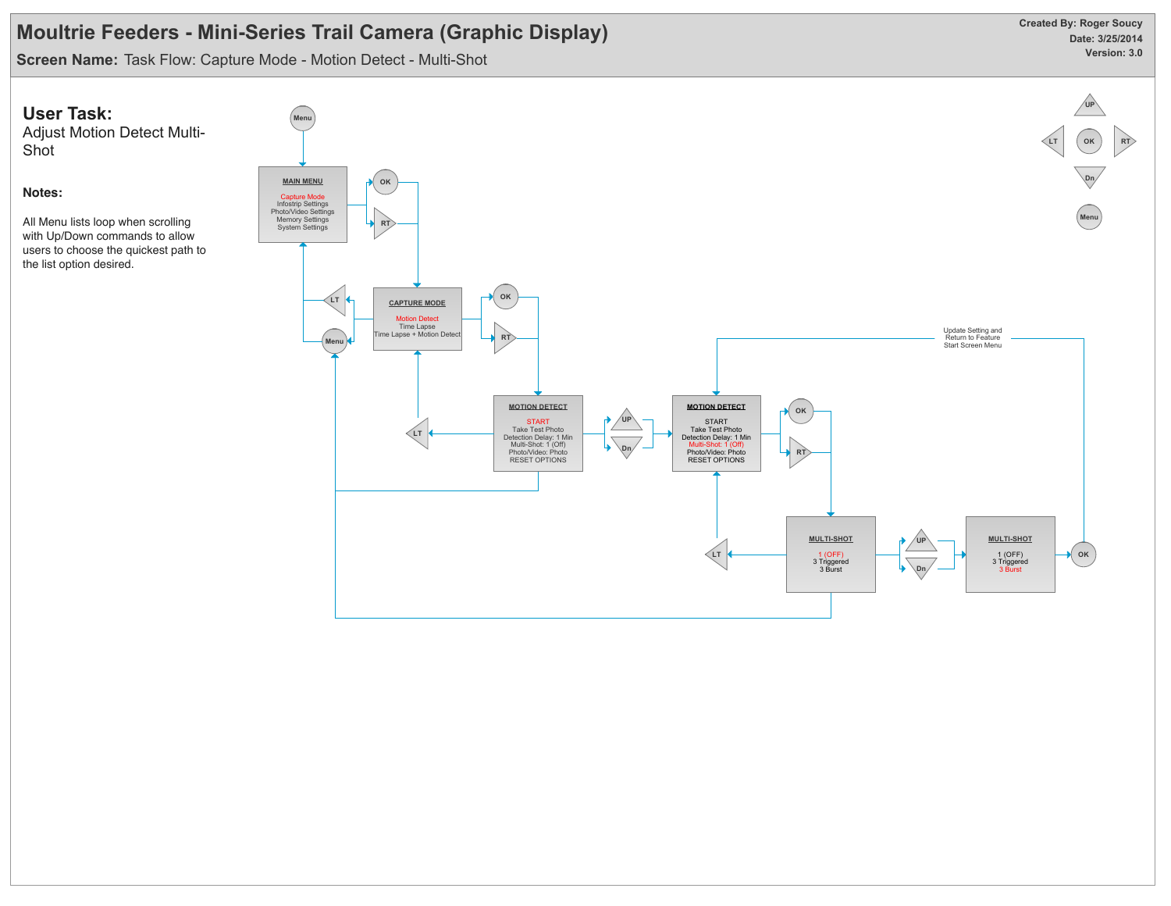**Screen Name:** Task Flow: Capture Mode - Motion Detect - Multi-Shot

Shot

**Notes:**



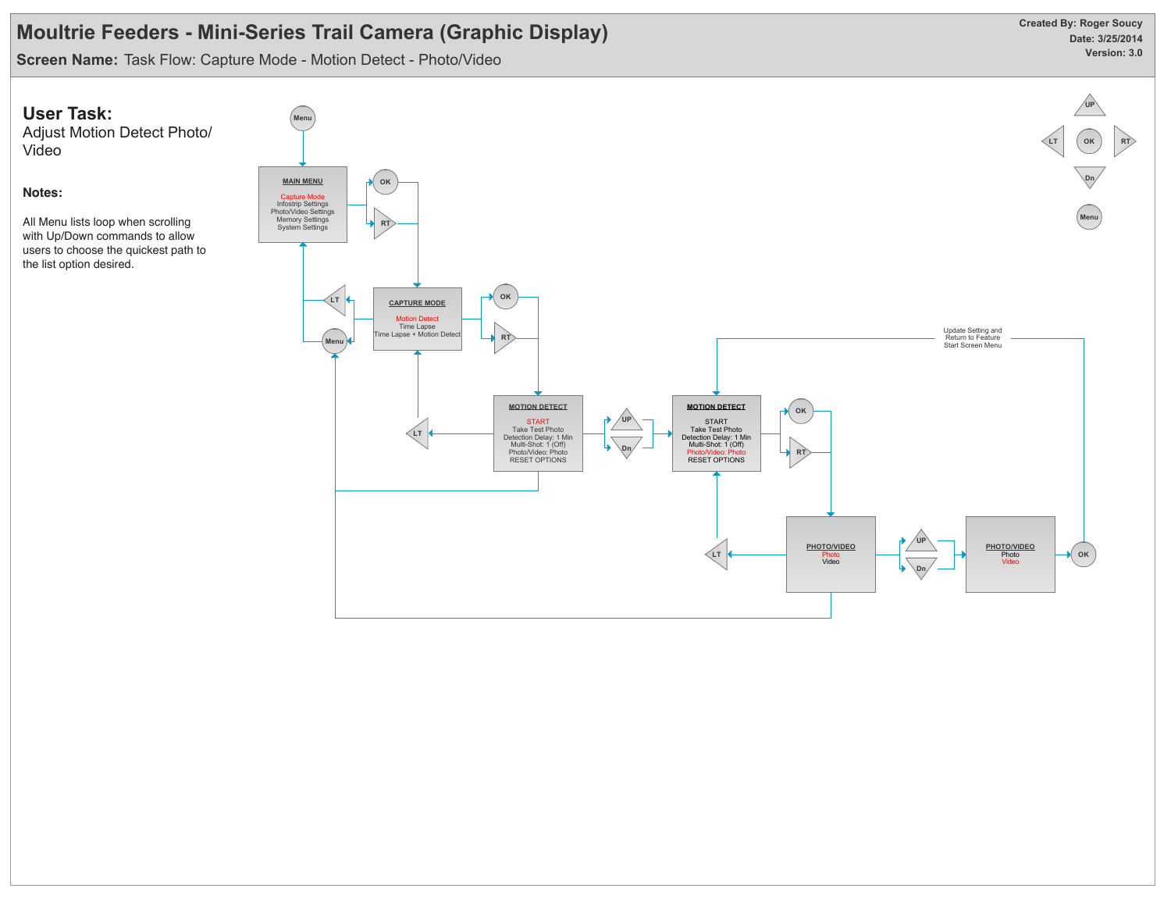**Screen Name:** Task Flow: Capture Mode - Motion Detect - Photo/Video

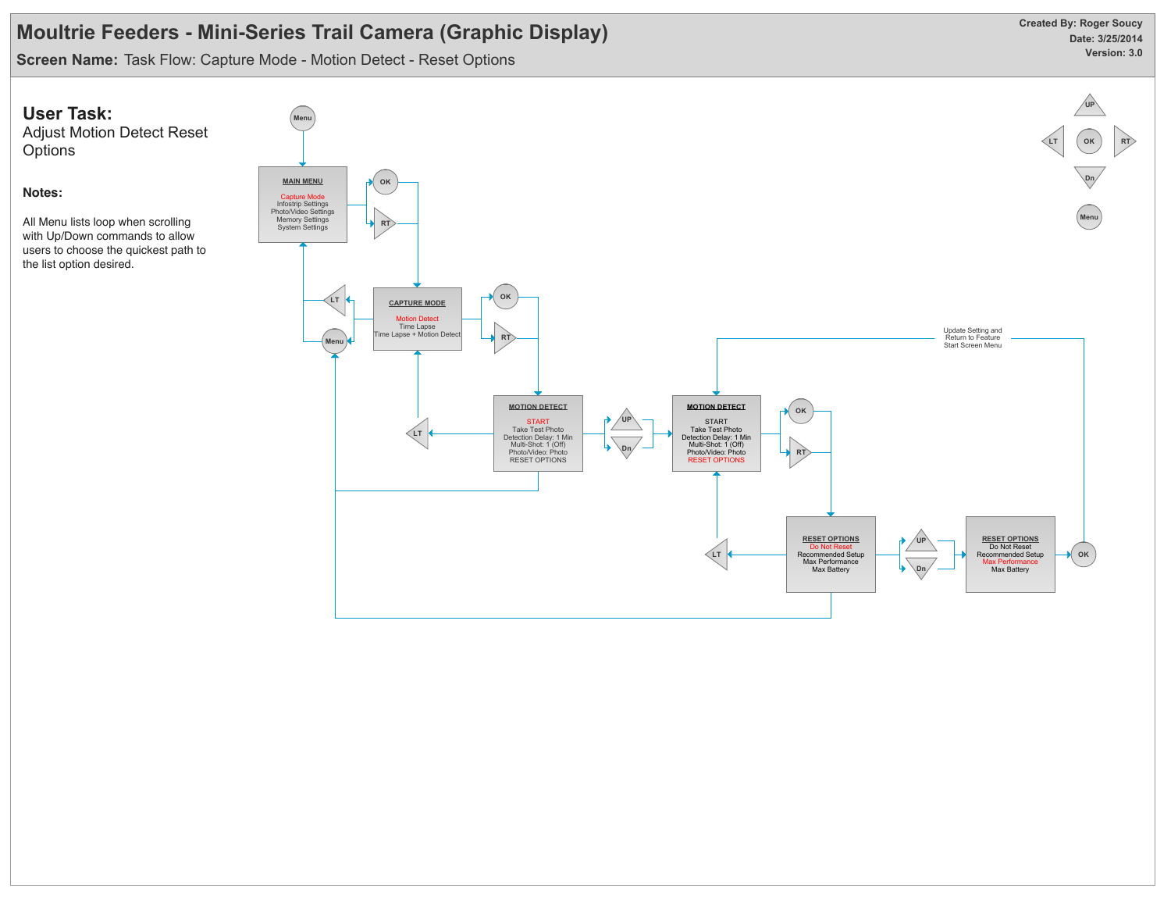**Screen Name:** Task Flow: Capture Mode - Motion Detect - Reset Options

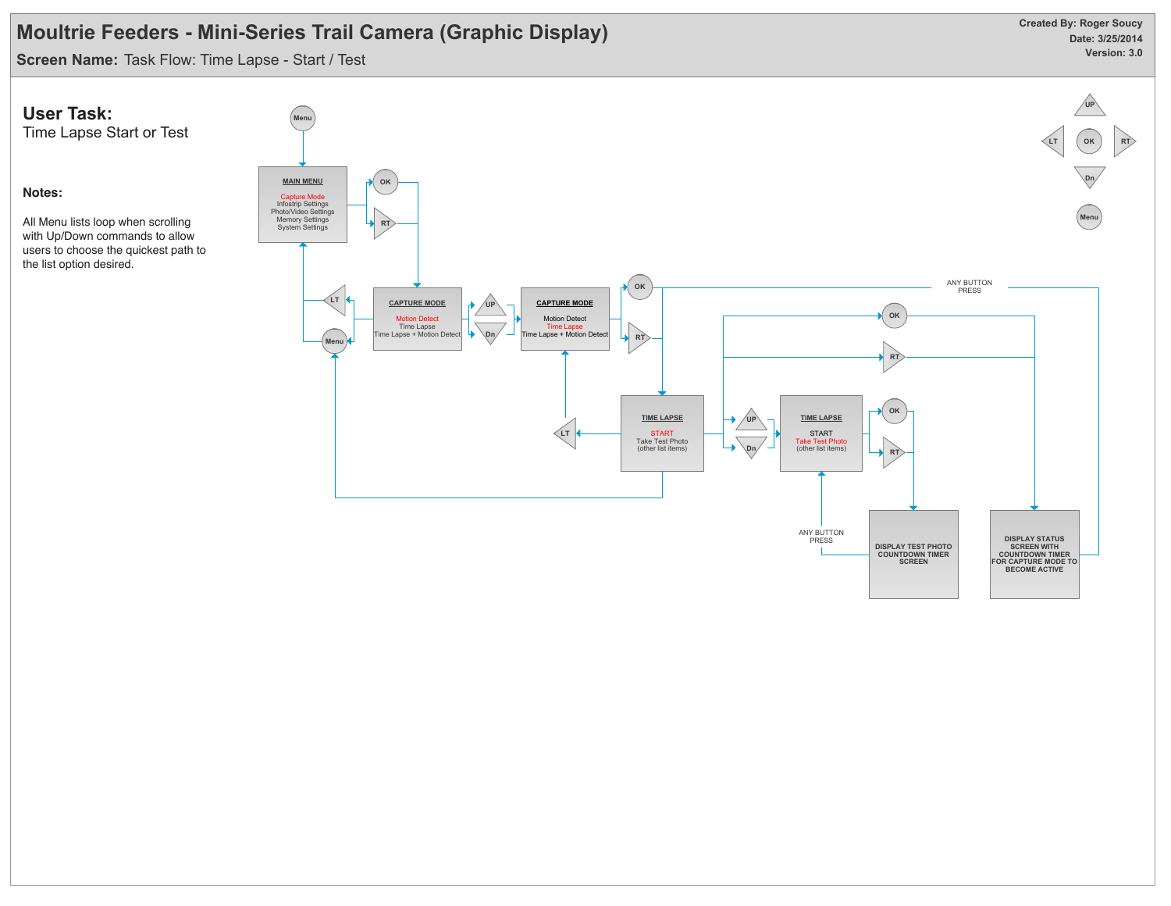**Screen Name:** Task Flow: Time Lapse - Start / Test

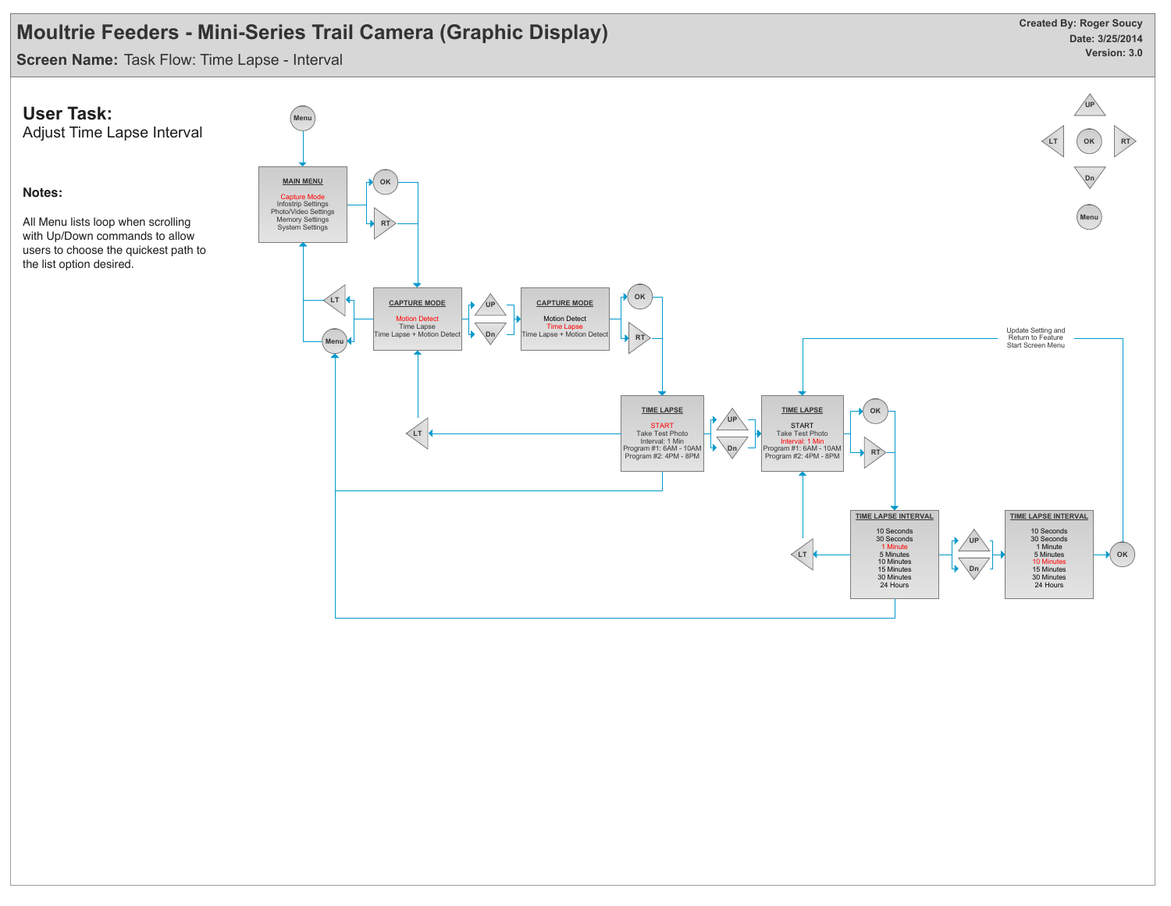**Screen Name:** Task Flow: Time Lapse - Interval

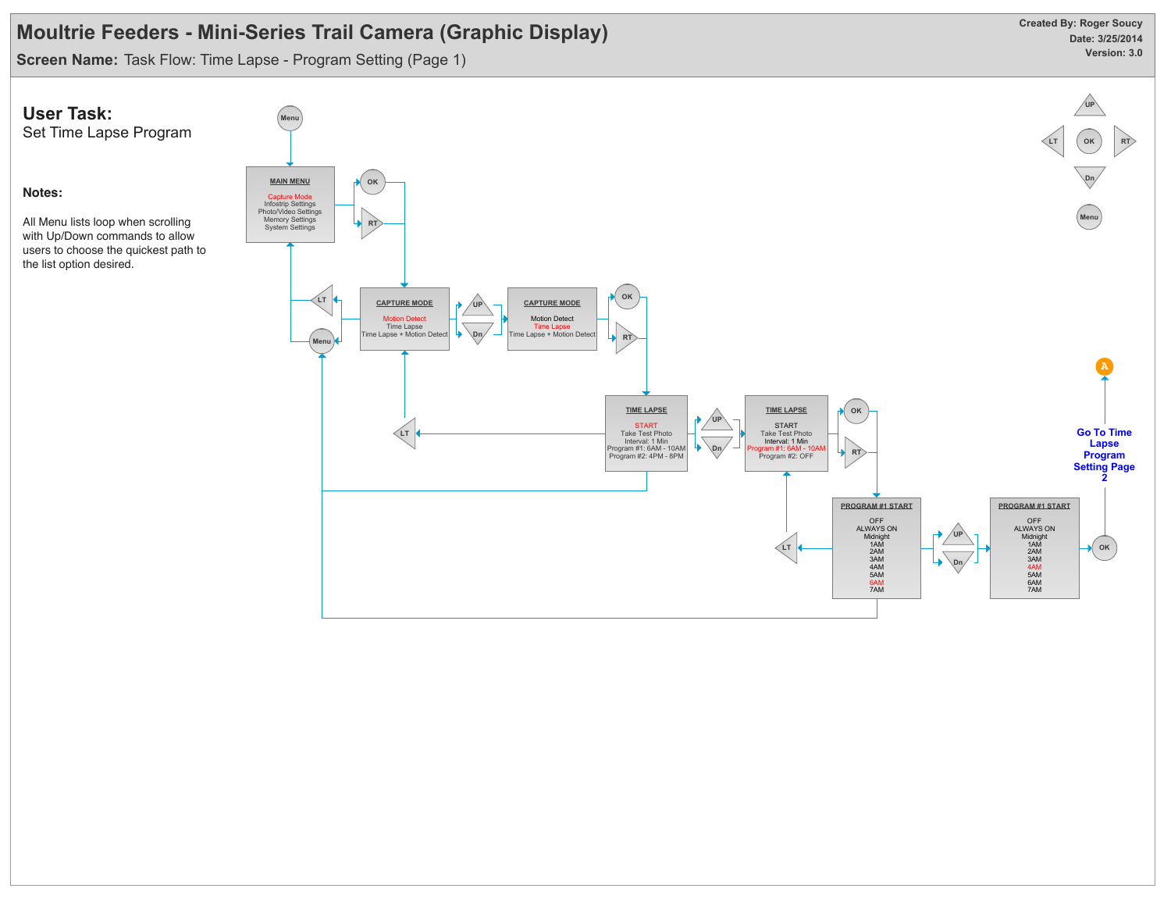**Screen Name:** Task Flow: Time Lapse - Program Setting (Page 1)

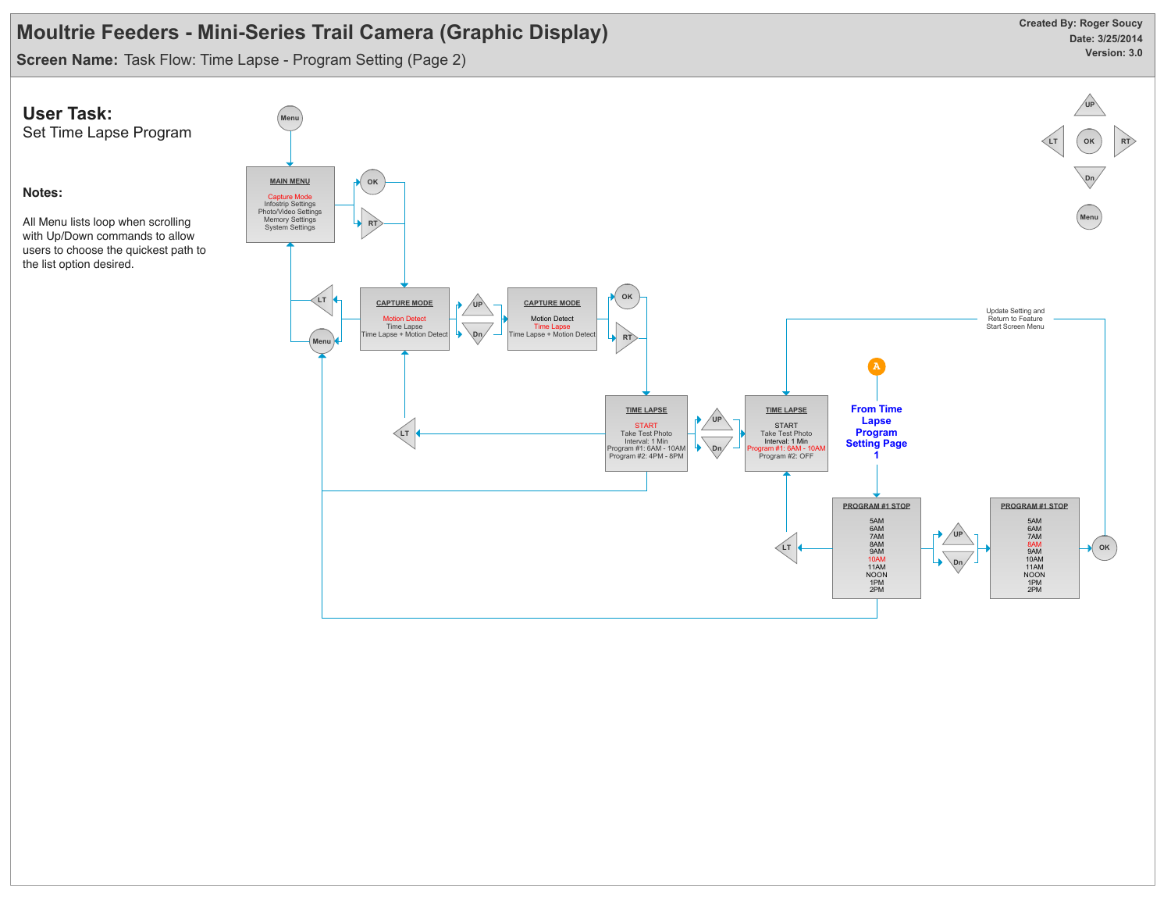**Screen Name:** Task Flow: Time Lapse - Program Setting (Page 2)

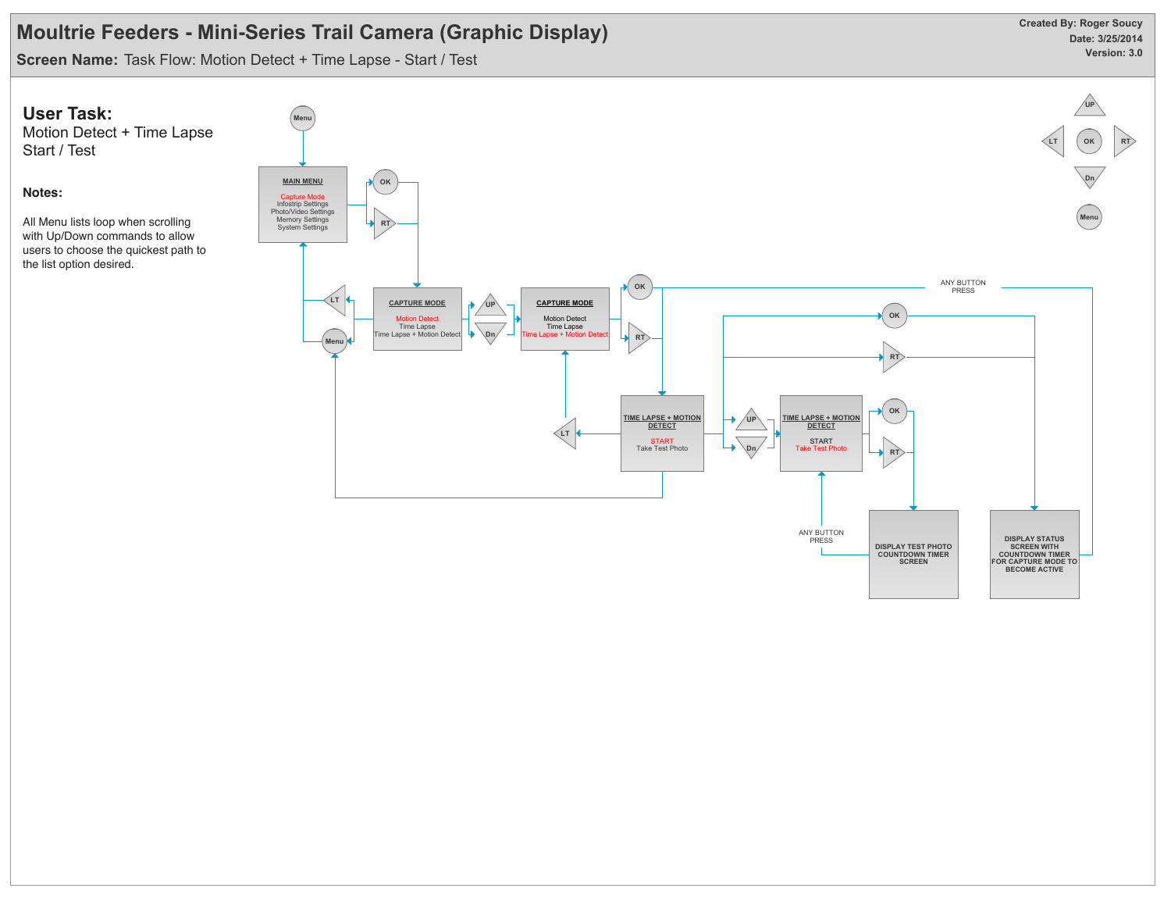**Screen Name:** Task Flow: Motion Detect + Time Lapse - Start / Test

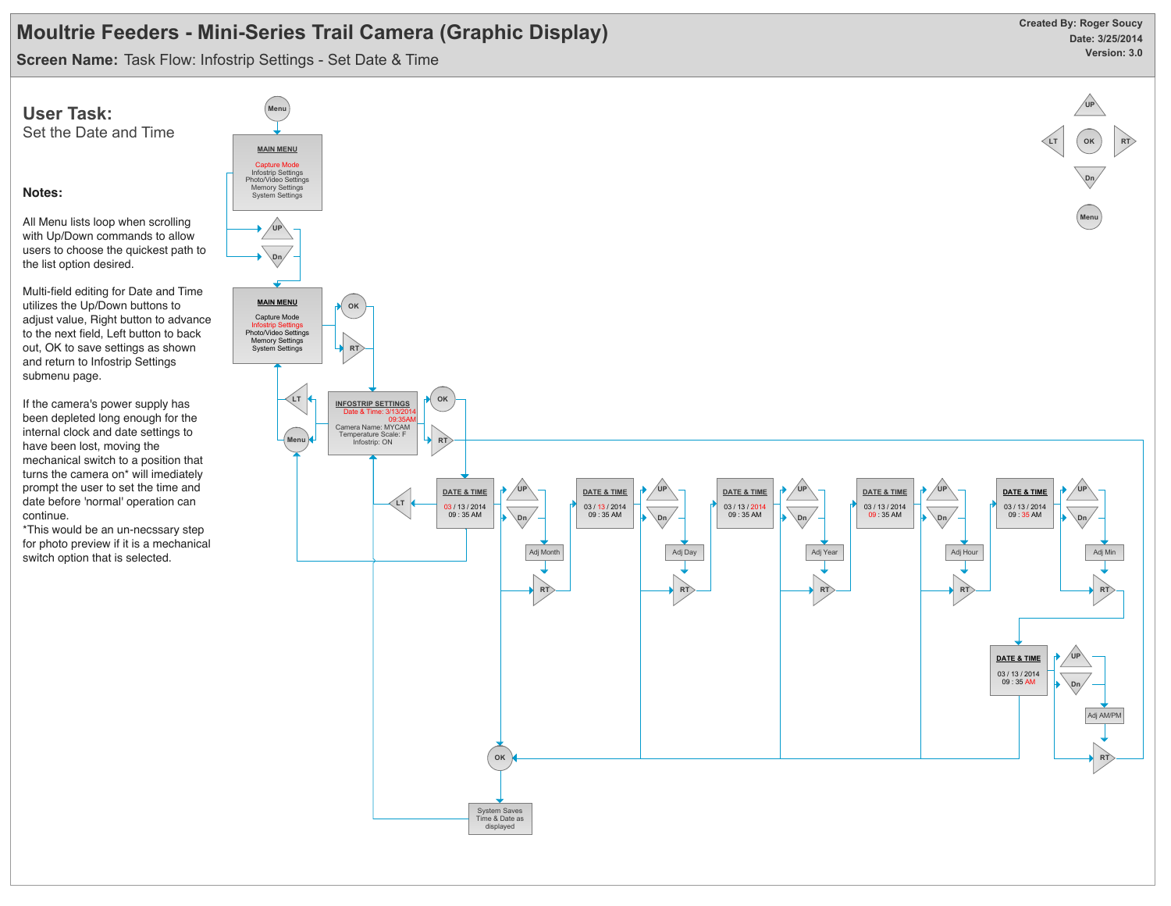**Screen Name:** Task Flow: Infostrip Settings - Set Date & Time

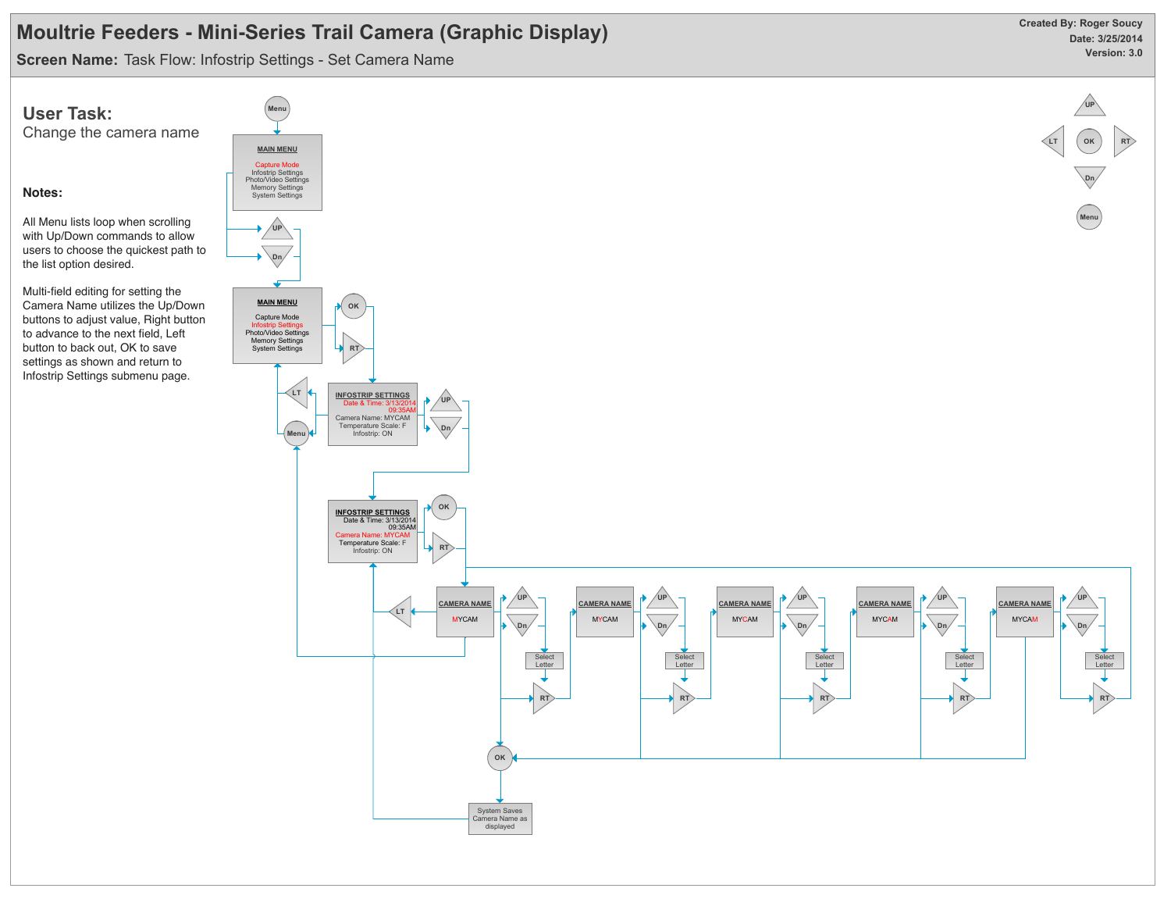**Screen Name:** Task Flow: Infostrip Settings - Set Camera Name

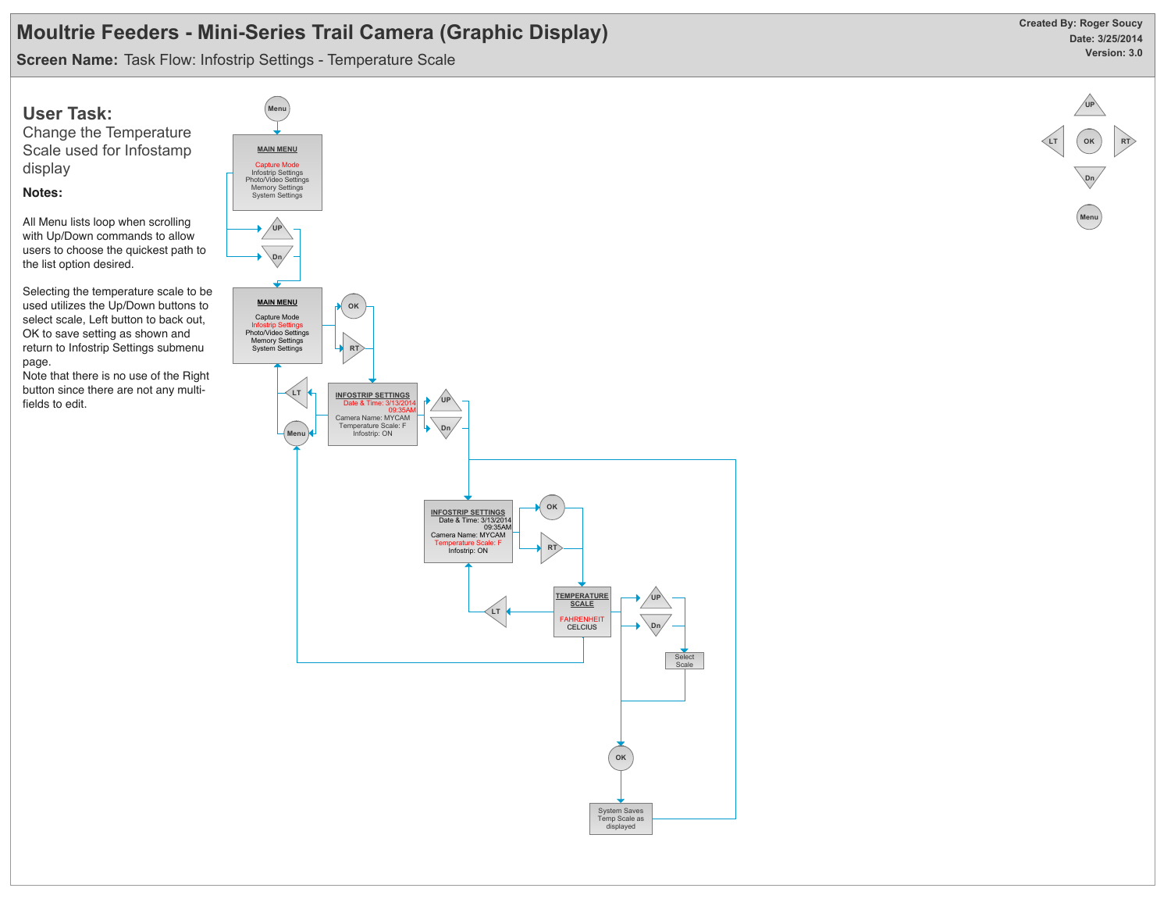**Screen Name:** Task Flow: Infostrip Settings - Temperature Scale



Change the Temperature Scale used for Infostamp display

#### **Notes:**

All Menu lists loop when scrolling with Up/Down commands to allow users to choose the quickest path to the list option desired.

Selecting the temperature scale to be used utilizes the Up/Down buttons to select scale, Left button to back out, OK to save setting as shown and return to Infostrip Settings submenu page.

Note that there is no use of the Right button since there are not any multifields to edit.



displayed

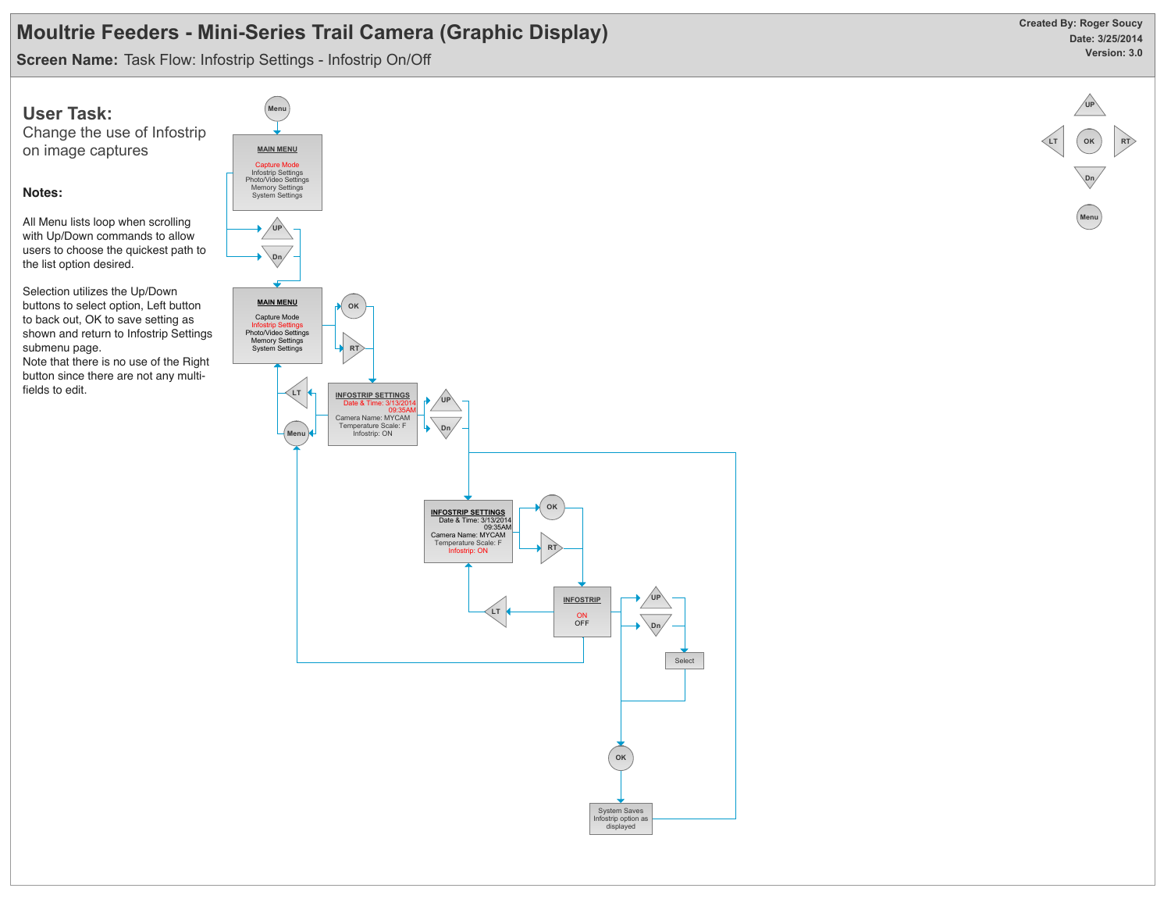**Screen Name:** Task Flow: Infostrip Settings - Infostrip On/Off



Change the use of Infostrip on image captures

#### **Notes:**

All Menu lists loop when scrolling with Up/Down commands to allow users to choose the quickest path to the list option desired.

Selection utilizes the Up/Down buttons to select option, Left button to back out, OK to save setting as shown and return to Infostrip Settings submenu page.

Note that there is no use of the Right button since there are not any multifields to edit.



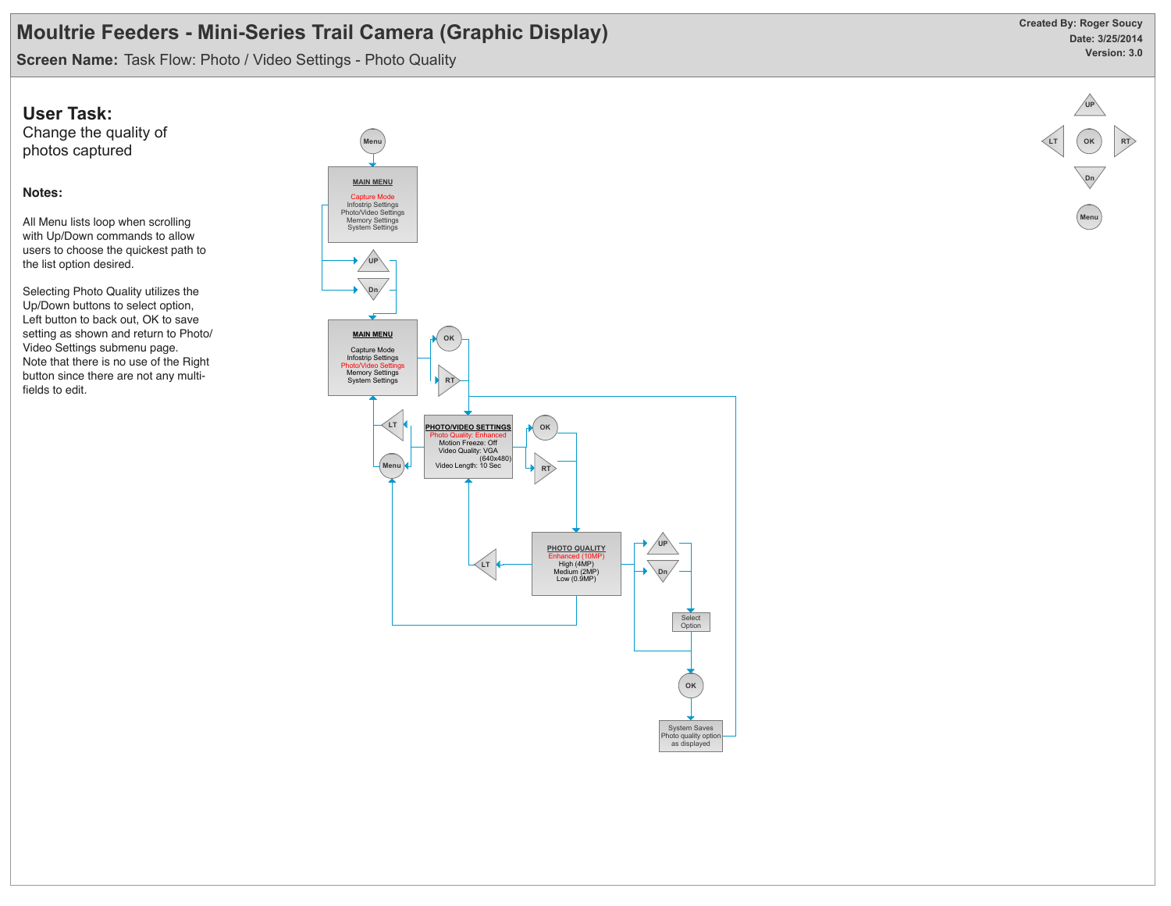**Screen Name:** Task Flow: Photo / Video Settings - Photo Quality

### **User Task:**

Change the quality of photos captured

#### **Notes:**

All Menu lists loop when scrolling with Up/Down commands to allow users to choose the quickest path to the list option desired.

Selecting Photo Quality utilizes the Up/Down buttons to select option, Left button to back out, OK to save setting as shown and return to Photo/ Video Settings submenu page. Note that there is no use of the Right button since there are not any multifields to edit.



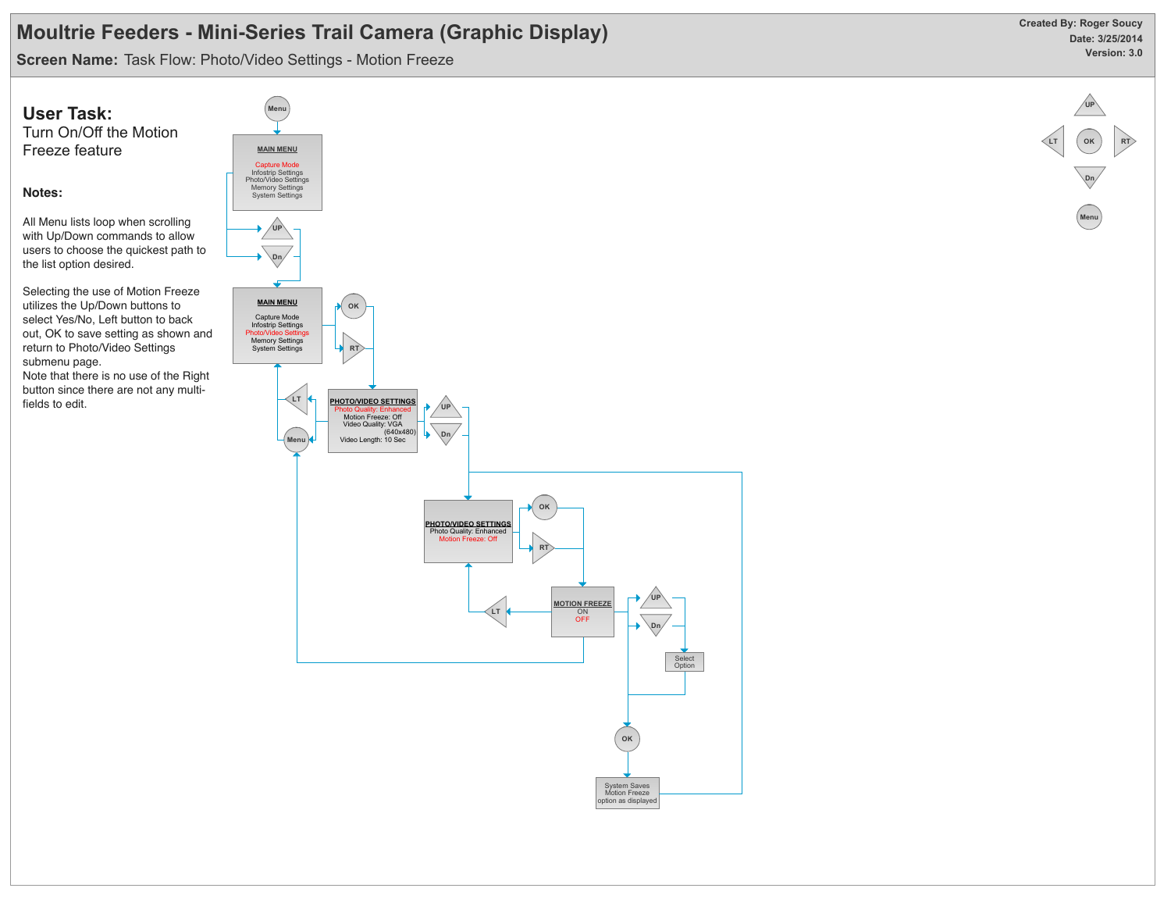**Screen Name:** Task Flow: Photo/Video Settings - Motion Freeze

**Notes:**



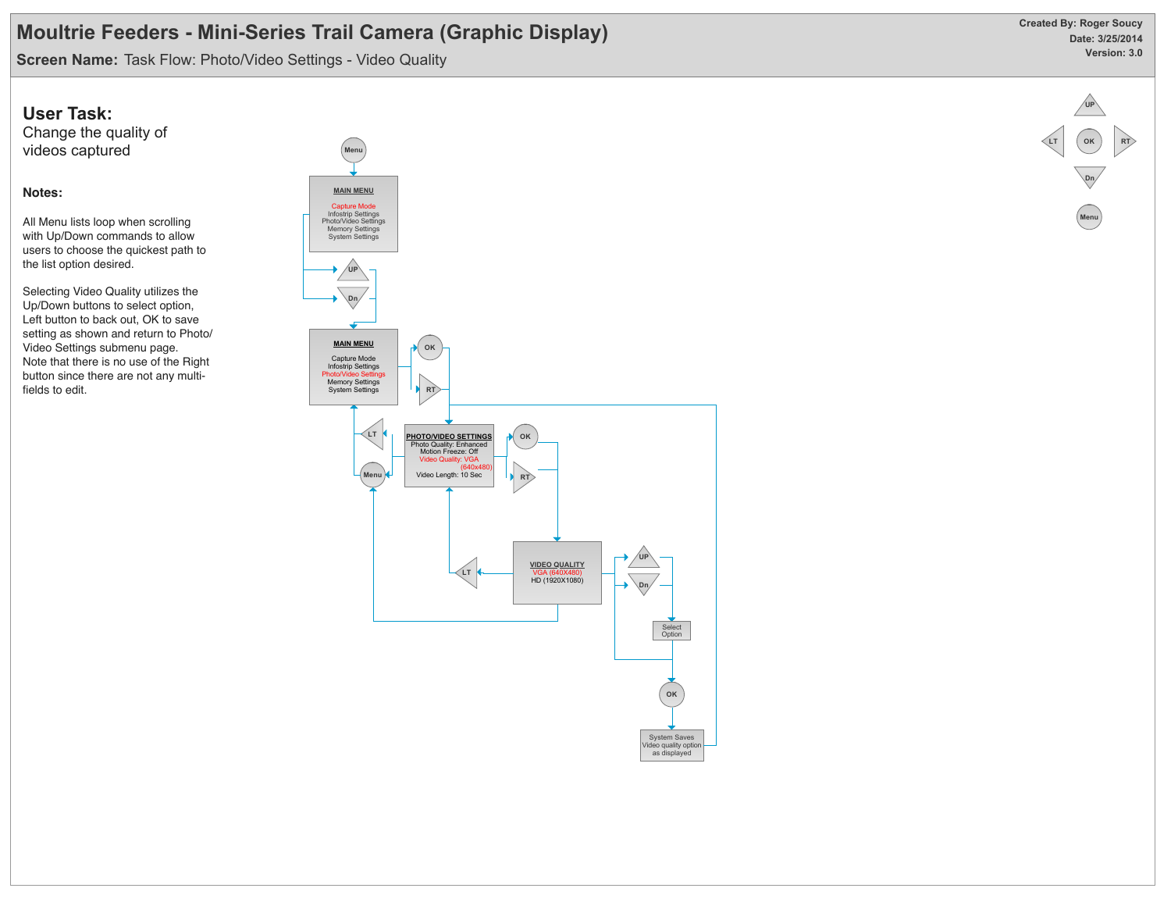**Screen Name:** Task Flow: Photo/Video Settings - Video Quality

### **User Task:**

Change the quality of videos captured

### **Notes:**

All Menu lists loop when scrolling with Up/Down commands to allow users to choose the quickest path to the list option desired.

Selecting Video Quality utilizes the Up/Down buttons to select option, Left button to back out, OK to save setting as shown and return to Photo/ Video Settings submenu page. Note that there is no use of the Right button since there are not any multifields to edit.





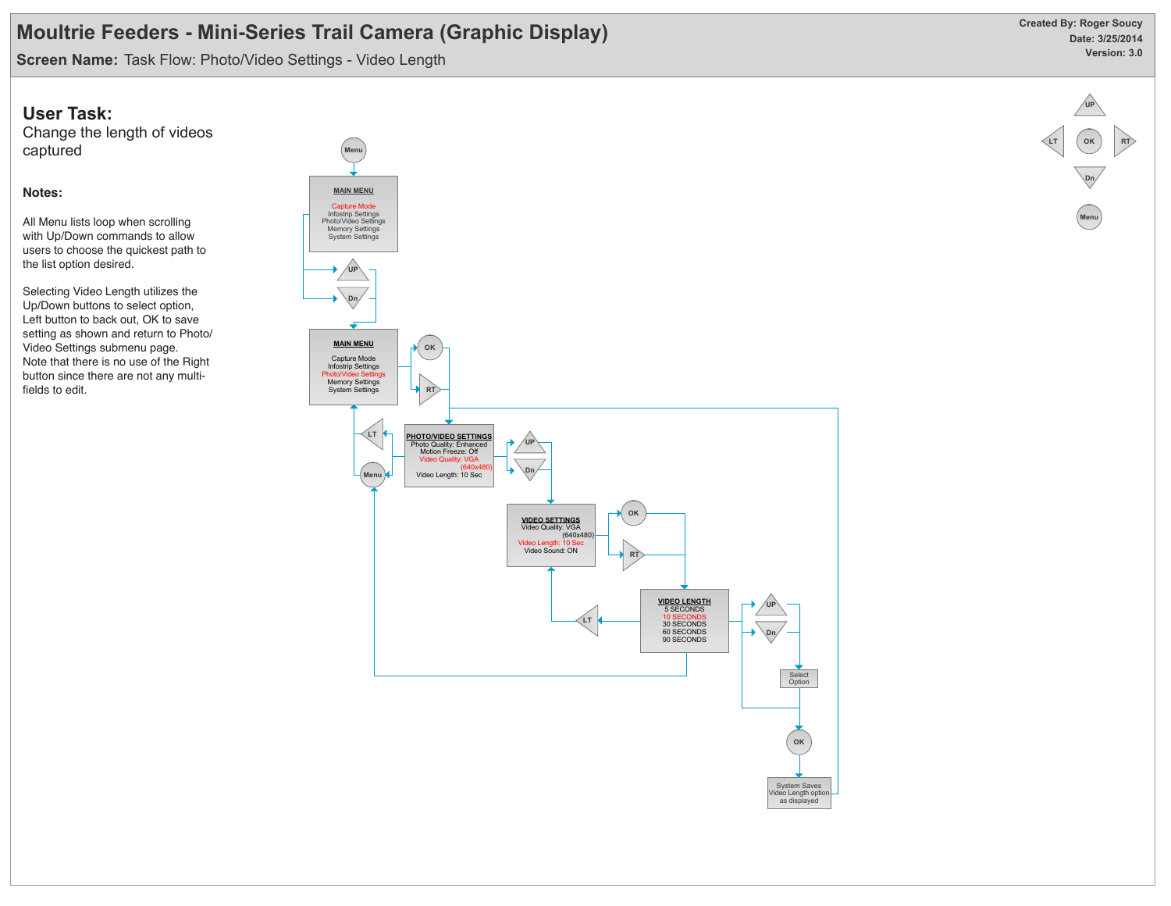**Screen Name:** Task Flow: Photo/Video Settings - Video Length

### **User Task:**

Change the length of videos captured

### **Notes:**

All Menu lists loop when scrolling with Up/Down commands to allow users to choose the quickest path to the list option desired.

Selecting Video Length utilizes the Up/Down buttons to select option, Left button to back out, OK to save setting as shown and return to Photo/ Video Settings submenu page. Note that there is no use of the Right button since there are not any multifields to edit.



**Date: 3/25/2014 Version: 3.0 Created By: Roger Soucy**

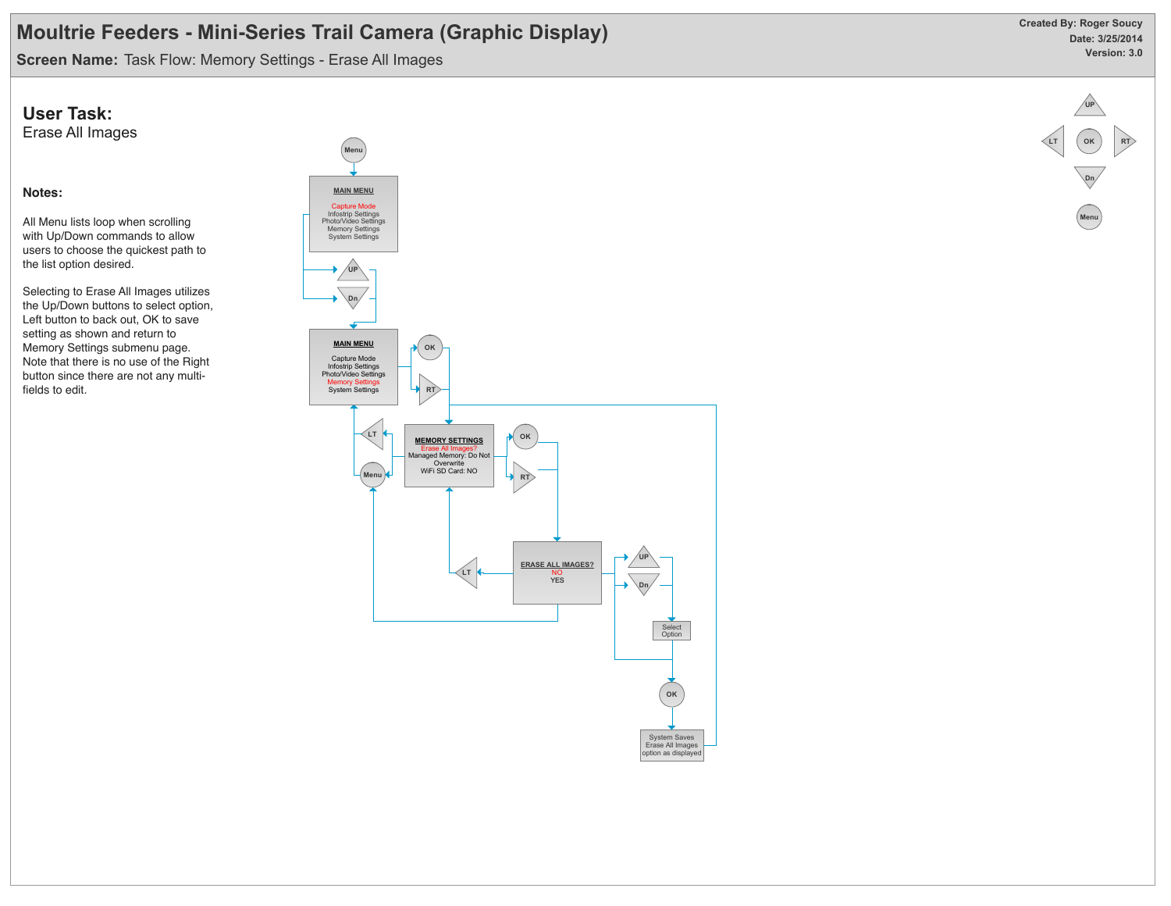**Screen Name:** Task Flow: Memory Settings - Erase All Images

### **User Task:**

Erase All Images

#### **Notes:**

All Menu lists loop when scrolling with Up/Down commands to allow users to choose the quickest path to the list option desired.

Selecting to Erase All Images utilizes the Up/Down buttons to select option, Left button to back out, OK to save setting as shown and return to Memory Settings submenu page. Note that there is no use of the Right button since there are not any multifields to edit.





**OK**

**RT**

**LT**

**Dn**

**Menu**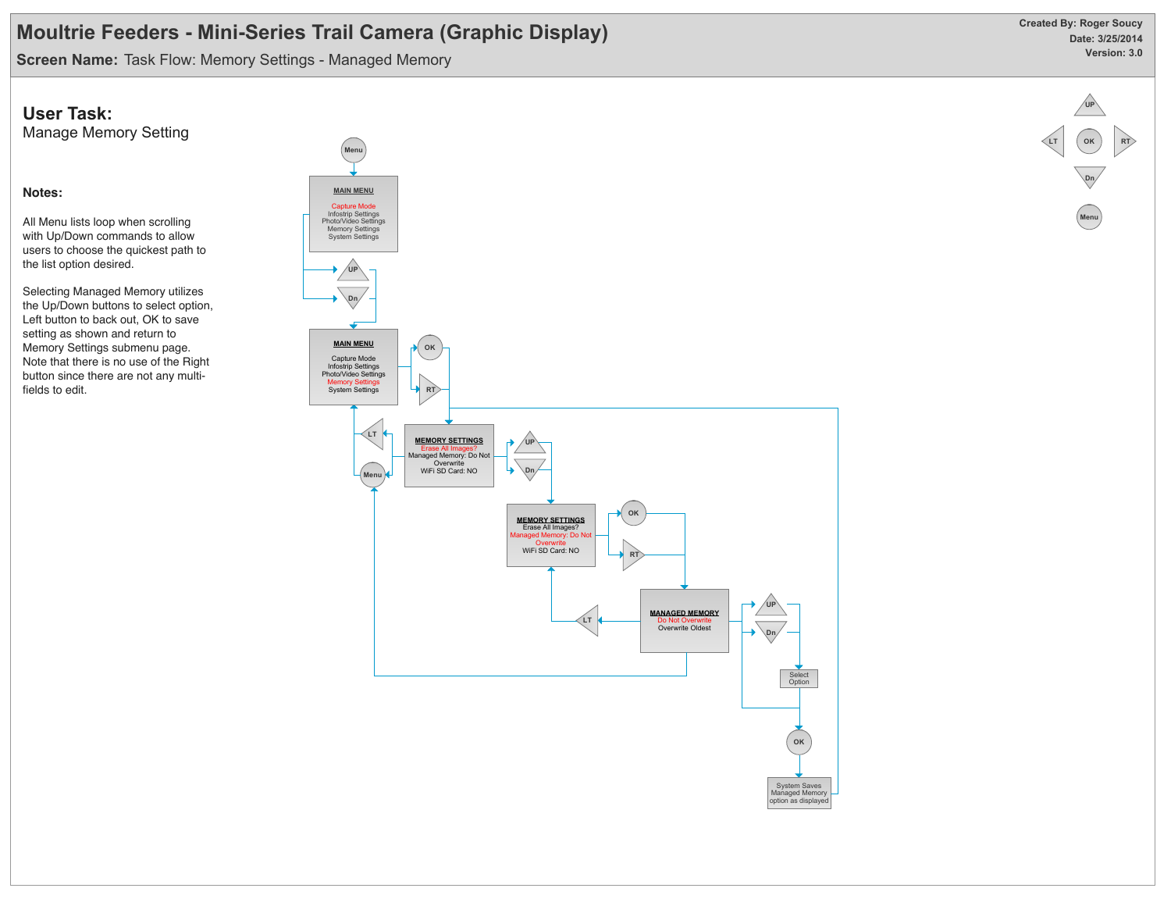**Screen Name:** Task Flow: Memory Settings - Managed Memory

### **User Task:**

Manage Memory Setting

### **Notes:**

All Menu lists loop when scrolling with Up/Down commands to allow users to choose the quickest path to the list option desired.

Selecting Managed Memory utilizes the Up/Down buttons to select option, Left button to back out, OK to save setting as shown and return to Memory Settings submenu page. Note that there is no use of the Right button since there are not any multifields to edit.





**OK**

**RT**

**LT**

**Dn**

**Menu**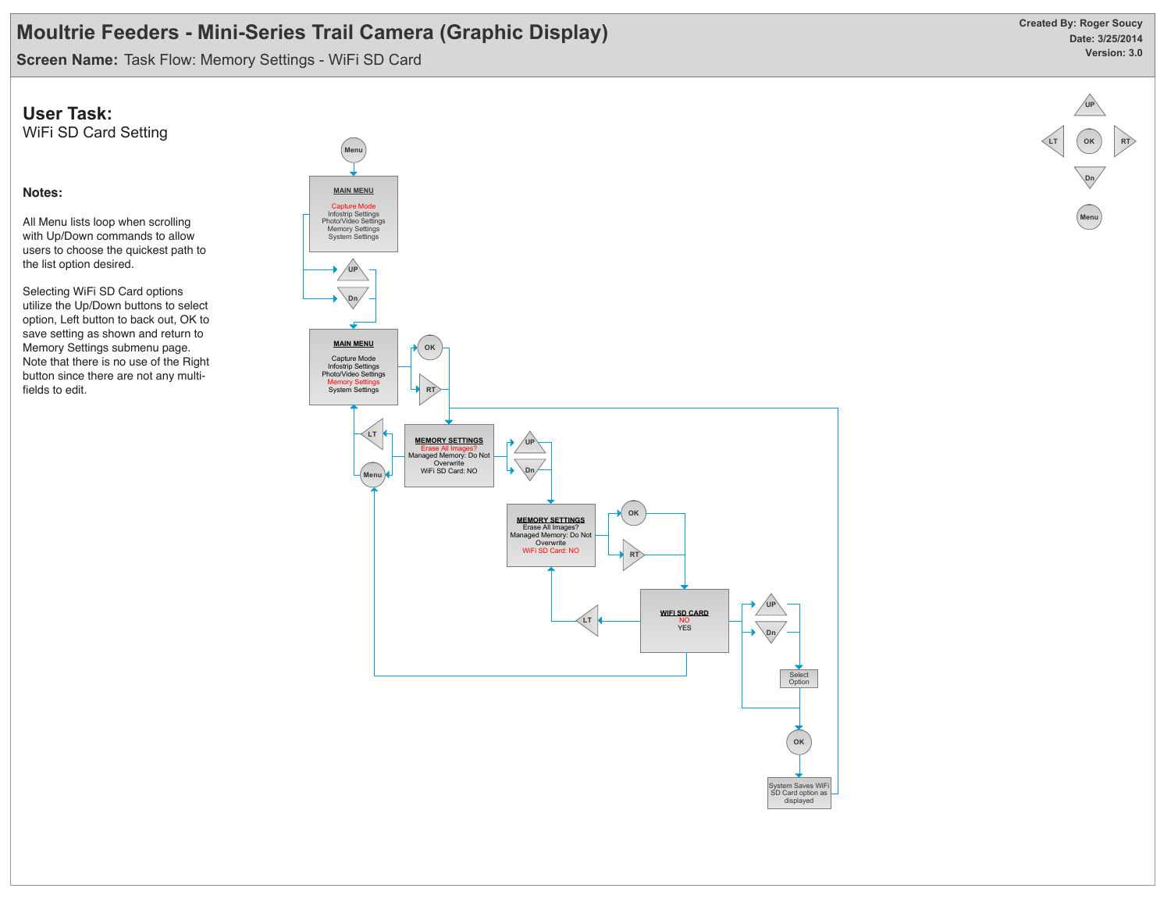**Screen Name:** Task Flow: Memory Settings - WiFi SD Card

### **User Task:**

WiFi SD Card Setting

#### **Notes:**

All Menu lists loop when scrolling with Up/Down commands to allow users to choose the quickest path to the list option desired.

Selecting WiFi SD Card options utilize the Up/Down buttons to select option, Left button to back out, OK to save setting as shown and return to Memory Settings submenu page. Note that there is no use of the Right button since there are not any multifields to edit.



**OK**

**RT**

**LT**

**Dn**

**Menu**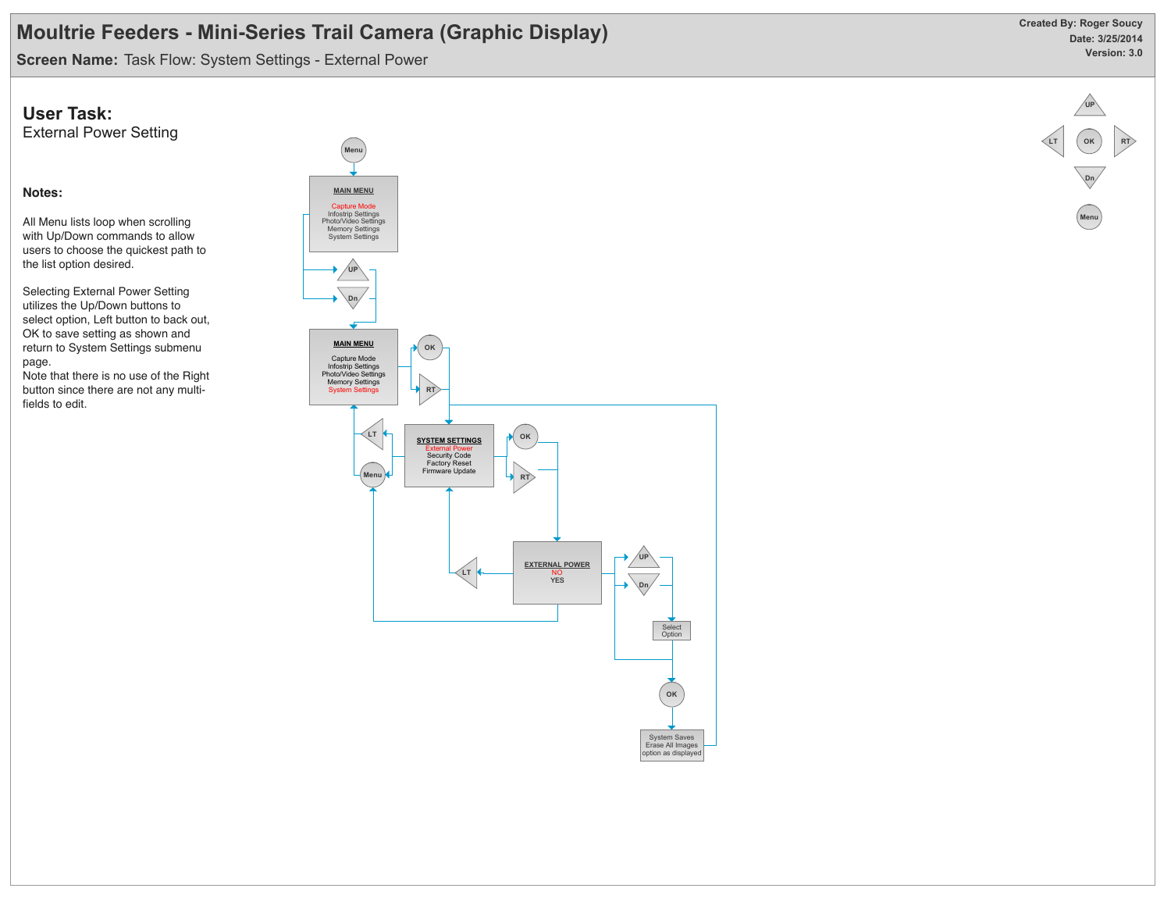**Screen Name:** Task Flow: System Settings - External Power

### **User Task:**

External Power Setting

### **Notes:**

All Menu lists loop when scrolling with Up/Down commands to allow users to choose the quickest path to the list option desired.

Selecting External Power Setting utilizes the Up/Down buttons to select option, Left button to back out, OK to save setting as shown and return to System Settings submenu page.

Note that there is no use of the Right button since there are not any multifields to edit.





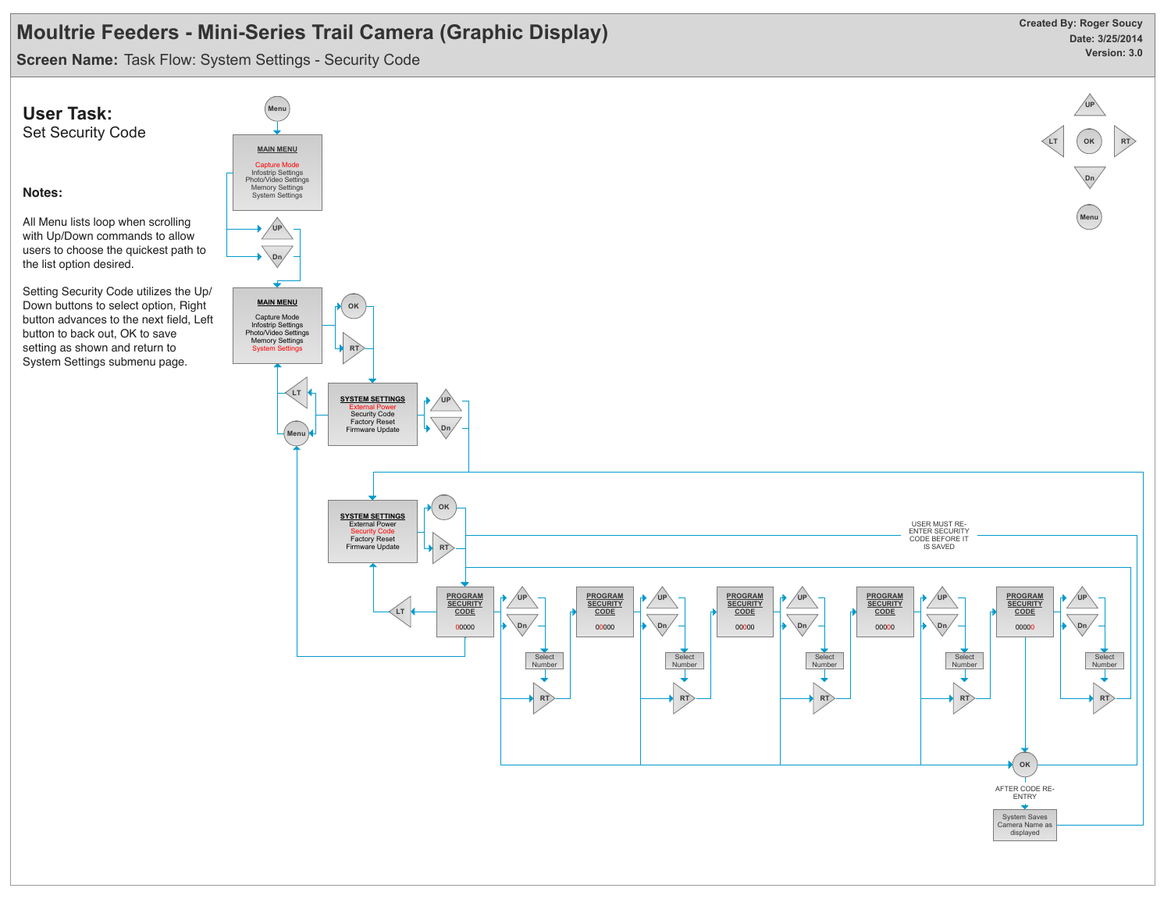**Screen Name:** Task Flow: System Settings - Security Code

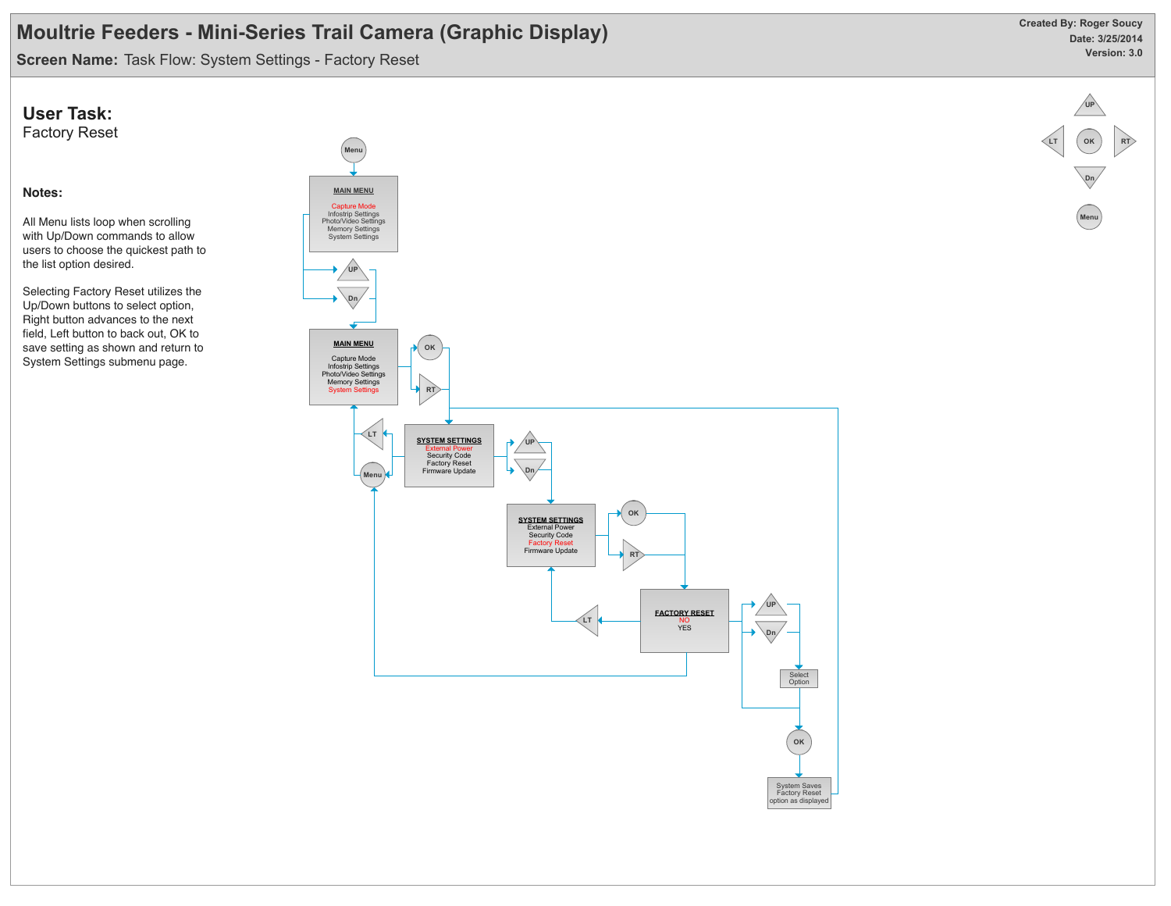**Screen Name:** Task Flow: System Settings - Factory Reset

### **User Task:**

Factory Reset

#### **Notes:**

All Menu lists loop when scrolling with Up/Down commands to allow users to choose the quickest path to the list option desired.

Selecting Factory Reset utilizes the Up/Down buttons to select option, Right button advances to the next field, Left button to back out, OK to save setting as shown and return to System Settings submenu page.





**OK**

**RT**

**LT**

**Dn**

**Menu**